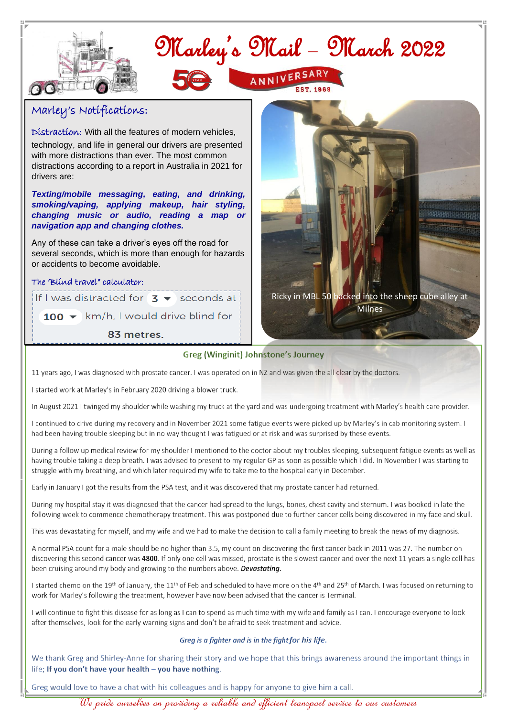

 $100 \rightarrow$  km/h, I would drive blind for

83 metres.

#### **Greg (Winginit) Johnstone's Journey**

11 years ago, I was diagnosed with prostate cancer. I was operated on in NZ and was given the all clear by the doctors.

I started work at Marley's in February 2020 driving a blower truck.

In August 2021 I twinged my shoulder while washing my truck at the vard and was undergoing treatment with Marley's health care provider.

I continued to drive during my recovery and in November 2021 some fatigue events were picked up by Marley's in cab monitoring system. I had been having trouble sleeping but in no way thought I was fatigued or at risk and was surprised by these events.

During a follow up medical review for my shoulder I mentioned to the doctor about my troubles sleeping, subsequent fatigue events as well as having trouble taking a deep breath. I was advised to present to my regular GP as soon as possible which I did. In November I was starting to struggle with my breathing, and which later required my wife to take me to the hospital early in December.

Early in January I got the results from the PSA test, and it was discovered that my prostate cancer had returned.

During my hospital stay it was diagnosed that the cancer had spread to the lungs, bones, chest cavity and sternum. I was booked in late the following week to commence chemotherapy treatment. This was postponed due to further cancer cells being discovered in my face and skull.

This was devastating for myself, and my wife and we had to make the decision to call a family meeting to break the news of my diagnosis.

A normal PSA count for a male should be no higher than 3.5, my count on discovering the first cancer back in 2011 was 27. The number on discovering this second cancer was 4800. If only one cell was missed, prostate is the slowest cancer and over the next 11 years a single cell has been cruising around my body and growing to the numbers above. Devastating.

I started chemo on the 19th of January, the 11<sup>th</sup> of Feb and scheduled to have more on the 4<sup>th</sup> and 25<sup>th</sup> of March. I was focused on returning to work for Marley's following the treatment, however have now been advised that the cancer is Terminal.

I will continue to fight this disease for as long as I can to spend as much time with my wife and family as I can. I encourage everyone to look after themselves, look for the early warning signs and don't be afraid to seek treatment and advice.

#### Greg is a fighter and is in the fight for his life.

We thank Greg and Shirley-Anne for sharing their story and we hope that this brings awareness around the important things in life; If you don't have your health - you have nothing.

Greg would love to have a chat with his colleagues and is happy for anyone to give him a call.

<u>"We pride ourselves on providing a reliable and efficient transport service to our customers</u>